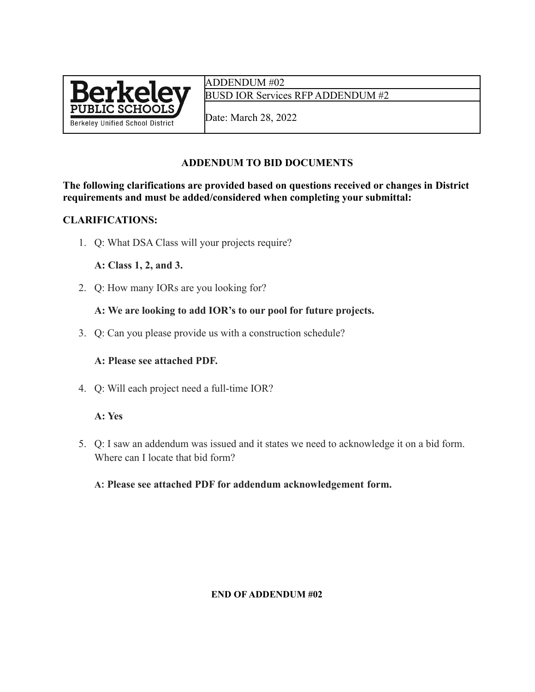

ADDENDUM #02 BUSD IOR Services RFP ADDENDUM #2

Date: March 28, 2022

# **ADDENDUM TO BID DOCUMENTS**

**The following clarifications are provided based on questions received or changes in District requirements and must be added/considered when completing your submittal:**

### **CLARIFICATIONS:**

1. Q: What DSA Class will your projects require?

### **A: Class 1, 2, and 3.**

2. Q: How many IORs are you looking for?

## **A: We are looking to add IOR's to our pool for future projects.**

3. Q: Can you please provide us with a construction schedule?

#### **A: Please see attached PDF.**

4. Q: Will each project need a full-time IOR?

#### **A: Yes**

5. Q: I saw an addendum was issued and it states we need to acknowledge it on a bid form. Where can I locate that bid form?

## **A: Please see attached PDF for addendum acknowledgement form.**

#### **END OF ADDENDUM #02**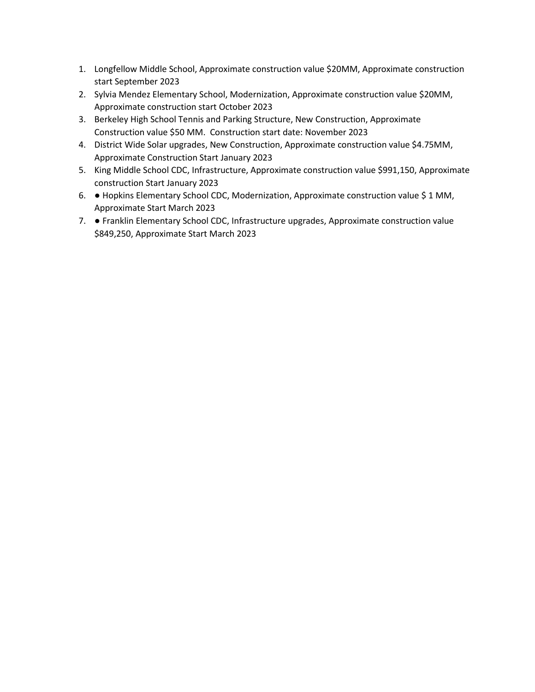- 1. Longfellow Middle School, Approximate construction value \$20MM, Approximate construction start September 2023
- 2. Sylvia Mendez Elementary School, Modernization, Approximate construction value \$20MM, Approximate construction start October 2023
- 3. Berkeley High School Tennis and Parking Structure, New Construction, Approximate Construction value \$50 MM. Construction start date: November 2023
- 4. District Wide Solar upgrades, New Construction, Approximate construction value \$4.75MM, Approximate Construction Start January 2023
- 5. King Middle School CDC, Infrastructure, Approximate construction value \$991,150, Approximate construction Start January 2023
- 6. Hopkins Elementary School CDC, Modernization, Approximate construction value \$ 1 MM, Approximate Start March 2023
- 7. Franklin Elementary School CDC, Infrastructure upgrades, Approximate construction value \$849,250, Approximate Start March 2023